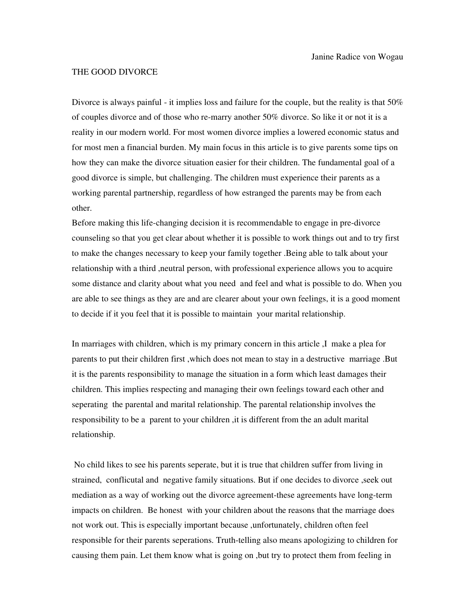## THE GOOD DIVORCE

Divorce is always painful - it implies loss and failure for the couple, but the reality is that 50% of couples divorce and of those who re-marry another 50% divorce. So like it or not it is a reality in our modern world. For most women divorce implies a lowered economic status and for most men a financial burden. My main focus in this article is to give parents some tips on how they can make the divorce situation easier for their children. The fundamental goal of a good divorce is simple, but challenging. The children must experience their parents as a working parental partnership, regardless of how estranged the parents may be from each other.

Before making this life-changing decision it is recommendable to engage in pre-divorce counseling so that you get clear about whether it is possible to work things out and to try first to make the changes necessary to keep your family together .Being able to talk about your relationship with a third ,neutral person, with professional experience allows you to acquire some distance and clarity about what you need and feel and what is possible to do. When you are able to see things as they are and are clearer about your own feelings, it is a good moment to decide if it you feel that it is possible to maintain your marital relationship.

In marriages with children, which is my primary concern in this article ,I make a plea for parents to put their children first ,which does not mean to stay in a destructive marriage .But it is the parents responsibility to manage the situation in a form which least damages their children. This implies respecting and managing their own feelings toward each other and seperating the parental and marital relationship. The parental relationship involves the responsibility to be a parent to your children ,it is different from the an adult marital relationship.

 No child likes to see his parents seperate, but it is true that children suffer from living in strained, conflicutal and negative family situations. But if one decides to divorce ,seek out mediation as a way of working out the divorce agreement-these agreements have long-term impacts on children. Be honest with your children about the reasons that the marriage does not work out. This is especially important because ,unfortunately, children often feel responsible for their parents seperations. Truth-telling also means apologizing to children for causing them pain. Let them know what is going on ,but try to protect them from feeling in